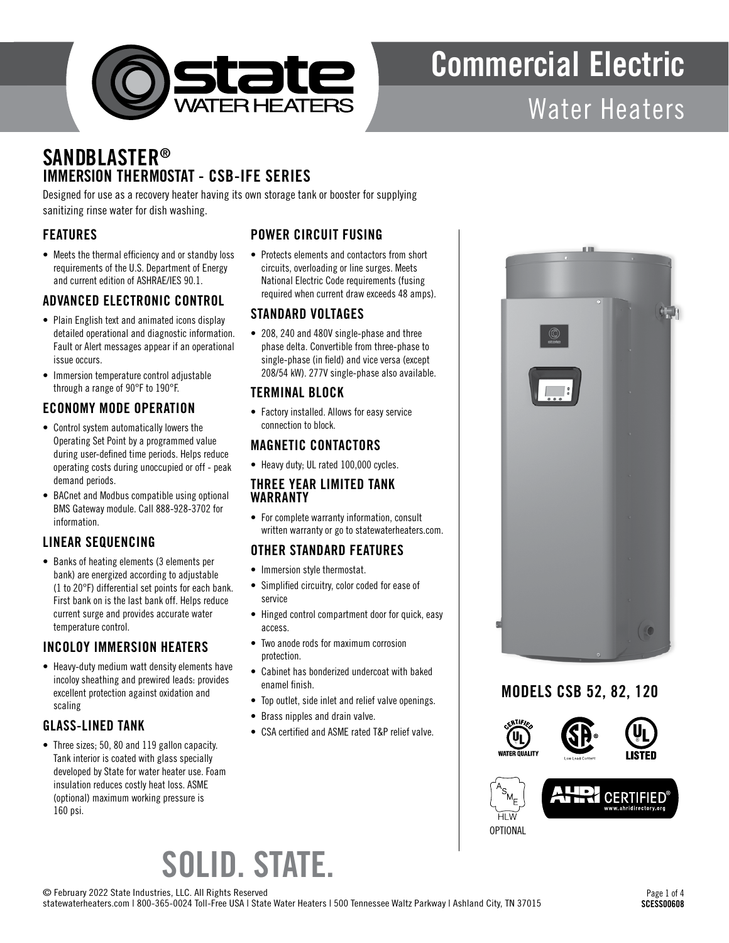

# Commercial Electric

### Water Heaters

### **SANDBLASTER®** IMMERSION THERMOSTAT - CSB-IFE SERIES

Designed for use as a recovery heater having its own storage tank or booster for supplying sanitizing rinse water for dish washing.

#### FEATURES

• Meets the thermal efficiency and or standby loss requirements of the U.S. Department of Energy and current edition of ASHRAE/IES 90.1.

#### ADVANCED ELECTRONIC CONTROL

- Plain English text and animated icons display detailed operational and diagnostic information. Fault or Alert messages appear if an operational issue occurs.
- Immersion temperature control adjustable through a range of 90°F to 190°F.

#### ECONOMY MODE OPERATION

- Control system automatically lowers the Operating Set Point by a programmed value during user-defined time periods. Helps reduce operating costs during unoccupied or off - peak demand periods.
- BACnet and Modbus compatible using optional BMS Gateway module. Call 888-928-3702 for information.

#### LINEAR SEQUENCING

• Banks of heating elements (3 elements per bank) are energized according to adjustable (1 to 20°F) differential set points for each bank. First bank on is the last bank off. Helps reduce current surge and provides accurate water temperature control.

#### INCOLOY IMMERSION HEATERS

• Heavy-duty medium watt density elements have incoloy sheathing and prewired leads: provides excellent protection against oxidation and scaling

#### GLASS-LINED TANK

• Three sizes; 50, 80 and 119 gallon capacity. Tank interior is coated with glass specially developed by State for water heater use. Foam insulation reduces costly heat loss. ASME (optional) maximum working pressure is 160 psi.

#### POWER CIRCUIT FUSING

• Protects elements and contactors from short circuits, overloading or line surges. Meets National Electric Code requirements (fusing required when current draw exceeds 48 amps).

#### STANDARD VOLTAGES

• 208, 240 and 480V single-phase and three phase delta. Convertible from three-phase to single-phase (in field) and vice versa (except 208/54 kW). 277V single-phase also available.

#### TERMINAL BLOCK

• Factory installed. Allows for easy service connection to block.

#### MAGNETIC CONTACTORS

• Heavy duty; UL rated 100,000 cycles.

#### THREE YEAR LIMITED TANK WARRANTY

• For complete warranty information, consult written warranty or go to statewaterheaters.com.

#### OTHER STANDARD FEATURES

- Immersion style thermostat.
- Simplified circuitry, color coded for ease of service
- Hinged control compartment door for quick, easy access.
- Two anode rods for maximum corrosion protection.
- Cabinet has bonderized undercoat with baked enamel finish.
- Top outlet, side inlet and relief valve openings.
- Brass nipples and drain valve.
- CSA certified and ASME rated T&P relief valve.



#### MODELS CSB 52, 82, 120





### SOLID. STATE.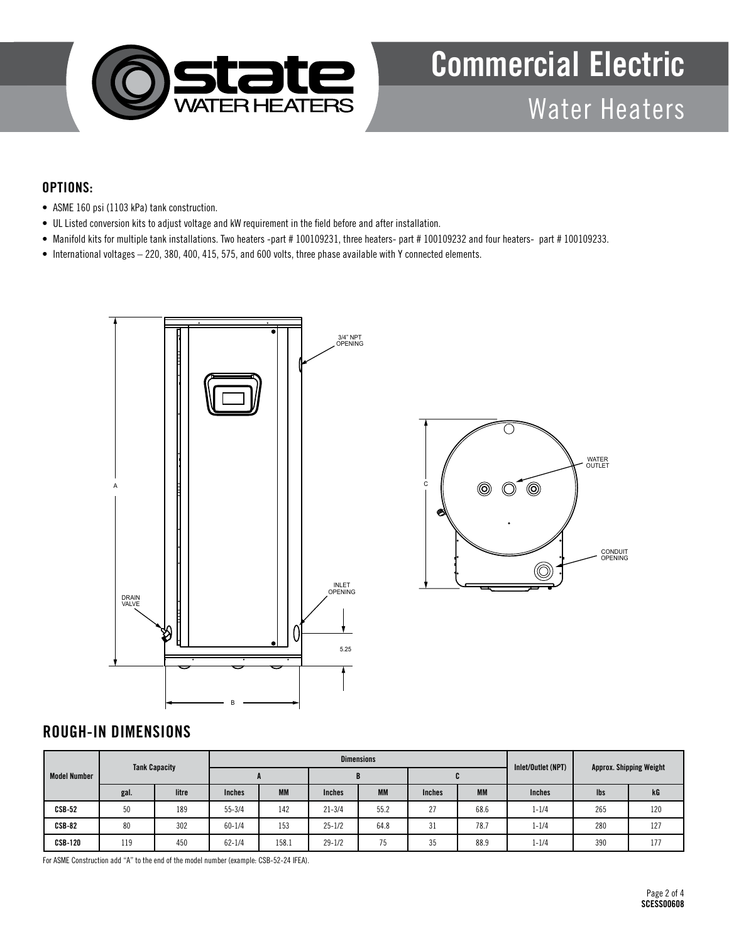

### Commercial Electric Water Heaters

#### OPTIONS:

- ASME 160 psi (1103 kPa) tank construction.
- UL Listed conversion kits to adjust voltage and kW requirement in the field before and after installation.
- Manifold kits for multiple tank installations. Two heaters -part # 100109231, three heaters- part # 100109232 and four heaters- part # 100109233.
- International voltages 220, 380, 400, 415, 575, and 600 volts, three phase available with Y connected elements.



#### ROUGH-IN DIMENSIONS

| <b>Model Number</b> | <b>Tank Capacity</b> |       |               |           | <b>Dimensions</b> | Inlet/Outlet (NPT) | <b>Approx. Shipping Weight</b> |           |               |     |     |
|---------------------|----------------------|-------|---------------|-----------|-------------------|--------------------|--------------------------------|-----------|---------------|-----|-----|
|                     |                      |       |               |           | Ð                 |                    |                                |           |               | u   |     |
|                     | gal.                 | litre | <b>Inches</b> | <b>MM</b> | <b>Inches</b>     | <b>MM</b>          | <b>Inches</b>                  | <b>MM</b> | <b>Inches</b> | lbs | kG  |
| $CSB-52$            | 50                   | 189   | $55 - 3/4$    | 142       | $21 - 3/4$        | 55.2               | 27                             | 68.6      | $1 - 1/4$     | 265 | 120 |
| $CSB-82$            | 80                   | 302   | $60 - 1/4$    | 153       | $25 - 1/2$        | 64.8               | 31                             | 78.7      | $1 - 1/4$     | 280 | 127 |
| <b>CSB-120</b>      | 119                  | 450   | $62 - 1/4$    | 158.1     | $29 - 1/2$        | 75                 | 35                             | 88.9      | $1 - 1/4$     | 390 | 177 |

For ASME Construction add "A" to the end of the model number (example: CSB-52-24 IFEA).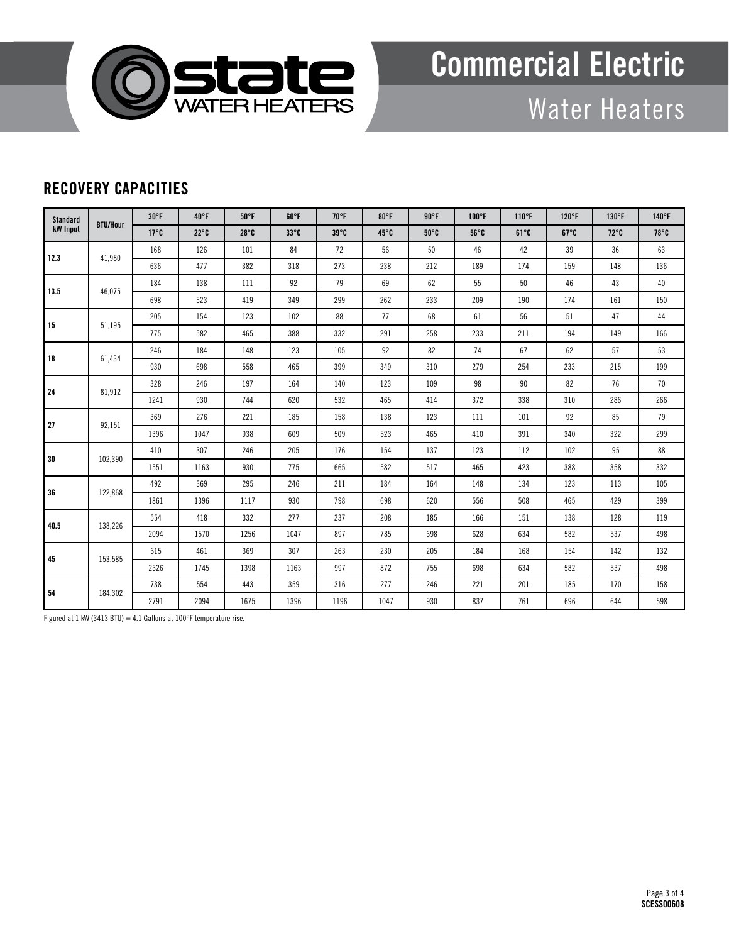

## Commercial Electric

Water Heaters

#### RECOVERY CAPACITIES

| <b>Standard</b><br>kW Input | <b>BTU/Hour</b> | $30^{\circ}$ F | $40^{\circ}$ F | $50^{\circ}$ F | $60^{\circ}$ F | $70^{\circ}$ F | $80^{\circ}$ F | $90^{\circ}$ F | $100^{\circ}$ F | $110^{\circ}F$            | $120^\circ F$ | $130^\circ F$  | $140^\circ$ F  |
|-----------------------------|-----------------|----------------|----------------|----------------|----------------|----------------|----------------|----------------|-----------------|---------------------------|---------------|----------------|----------------|
|                             |                 | $17^{\circ}$ C | $22^{\circ}$ C | $28^{\circ}$ C | $33^{\circ}$ C | $39^\circ$ C   | $45^\circ$ C   | $50^\circ$ C   | $56^{\circ}$ C  | $61^{\circ}$ <sub>C</sub> | $67^\circ$ C  | $72^{\circ}$ C | $78^{\circ}$ C |
| 12.3                        | 41.980          | 168            | 126            | 101            | 84             | 72             | 56             | 50             | 46              | 42                        | 39            | 36             | 63             |
|                             |                 | 636            | 477            | 382            | 318            | 273            | 238            | 212            | 189             | 174                       | 159           | 148            | 136            |
| 13.5                        | 46,075          | 184            | 138            | 111            | 92             | 79             | 69             | 62             | 55              | 50                        | 46            | 43             | 40             |
|                             |                 | 698            | 523            | 419            | 349            | 299            | 262            | 233            | 209             | 190                       | 174           | 161            | 150            |
| 15                          |                 | 205            | 154            | 123            | 102            | 88             | 77             | 68             | 61              | 56                        | 51            | 47             | 44             |
|                             | 51,195          | 775            | 582            | 465            | 388            | 332            | 291            | 258            | 233             | 211                       | 194           | 149            | 166            |
|                             | 61,434          | 246            | 184            | 148            | 123            | 105            | 92             | 82             | 74              | 67                        | 62            | 57             | 53             |
| 18                          |                 | 930            | 698            | 558            | 465            | 399            | 349            | 310            | 279             | 254                       | 233           | 215            | 199            |
| 24                          | 81,912          | 328            | 246            | 197            | 164            | 140            | 123            | 109            | 98              | 90                        | 82            | 76             | 70             |
|                             |                 | 1241           | 930            | 744            | 620            | 532            | 465            | 414            | 372             | 338                       | 310           | 286            | 266            |
| 27                          | 92,151          | 369            | 276            | 221            | 185            | 158            | 138            | 123            | 111             | 101                       | 92            | 85             | 79             |
|                             |                 | 1396           | 1047           | 938            | 609            | 509            | 523            | 465            | 410             | 391                       | 340           | 322            | 299            |
|                             | 102,390         | 410            | 307            | 246            | 205            | 176            | 154            | 137            | 123             | 112                       | 102           | 95             | 88             |
| 30                          |                 | 1551           | 1163           | 930            | 775            | 665            | 582            | 517            | 465             | 423                       | 388           | 358            | 332            |
| 36                          | 122,868         | 492            | 369            | 295            | 246            | 211            | 184            | 164            | 148             | 134                       | 123           | 113            | 105            |
|                             |                 | 1861           | 1396           | 1117           | 930            | 798            | 698            | 620            | 556             | 508                       | 465           | 429            | 399            |
|                             | 138,226         | 554            | 418            | 332            | 277            | 237            | 208            | 185            | 166             | 151                       | 138           | 128            | 119            |
| 40.5                        |                 | 2094           | 1570           | 1256           | 1047           | 897            | 785            | 698            | 628             | 634                       | 582           | 537            | 498            |
| 45                          | 153,585         | 615            | 461            | 369            | 307            | 263            | 230            | 205            | 184             | 168                       | 154           | 142            | 132            |
|                             |                 | 2326           | 1745           | 1398           | 1163           | 997            | 872            | 755            | 698             | 634                       | 582           | 537            | 498            |
|                             | 184,302         | 738            | 554            | 443            | 359            | 316            | 277            | 246            | 221             | 201                       | 185           | 170            | 158            |
| 54                          |                 | 2791           | 2094           | 1675           | 1396           | 1196           | 1047           | 930            | 837             | 761                       | 696           | 644            | 598            |

Figured at 1 kW (3413 BTU) = 4.1 Gallons at  $100^{\circ}$ F temperature rise.